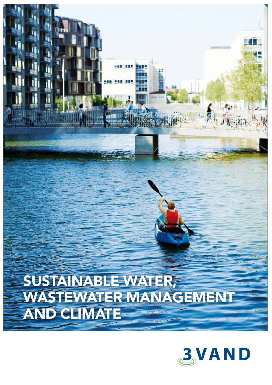# SUSTAINABLE WATER, WASTEWATER MANAGEMENT AND CLIMATE E

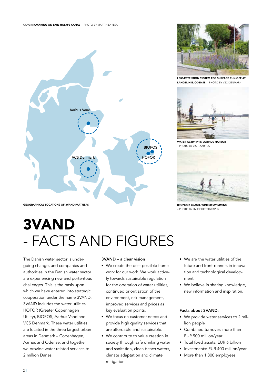



I BIO-RETENTION SYSTEM FOR SURFACE RUN-OFF AT LANGELINIE, ODENSE – PHOTO BY VSC DENMARK



WATER ACTIVITY IN AARHUS HARBOR – PHOTO BY VISIT AARHUS



– PHOTO BY HVIIDPHOTOGRAPHY

# 3VAND - FACTS AND FIGURES

The Danish water sector is undergoing change, and companies and authorities in the Danish water sector are experiencing new and portentous challenges. This is the basis upon which we have entered into strategic cooperation under the name 3VAND. 3VAND includes the water utilities HOFOR (Greater Copenhagen Utility), BIOFOS, Aarhus Vand and VCS Denmark. These water utilities are located in the three largest urban areas in Denmark – Copenhagen, Aarhus and Odense, and together we provide water-related services to 2 million Danes.

### 3VAND – a clear vision

- We create the best possible framework for our work. We work actively towards sustainable regulation for the operation of water utilities, continued prioritisation of the environment, risk management, improved services and prices as key evaluation points.
- We focus on customer needs and provide high quality services that are affordable and sustainable.
- We contribute to value creation in society through safe drinking water and sanitation, clean beach waters, climate adaptation and climate mitigation.
- We are the water utilities of the future and front-runners in innovation and technological development.
- We believe in sharing knowledge, new information and inspiration.

#### Facts about 3VAND:

- We provide water services to 2 million people
- Combined turnover: more than EUR 900 million/year
- Total fixed assets: EUR 6 billion
- Investments: EUR 400 million/year
- More than 1,800 employees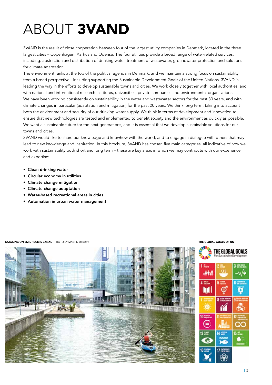# ABOUT 3VAND

3VAND is the result of close cooperation between four of the largest utility companies in Denmark, located in the three largest cities – Copenhagen, Aarhus and Odense. The four utilities provide a broad range of water-related services, including: abstraction and distribution of drinking water, treatment of wastewater, groundwater protection and solutions for climate adaptation.

The environment ranks at the top of the political agenda in Denmark, and we maintain a strong focus on sustainability from a broad perspective - including supporting the Sustainable Development Goals of the United Nations. 3VAND is leading the way in the efforts to develop sustainable towns and cities. We work closely together with local authorities, and with national and international research institutes, universities, private companies and environmental organisations. We have been working consistently on sustainability in the water and wastewater sectors for the past 30 years, and with climate changes in particular (adaptation and mitigation) for the past 20 years. We think long term, taking into account both the environment and security of our drinking water supply. We think in terms of development and innovation to ensure that new technologies are tested and implemented to benefit society and the environment as quickly as possible. We want a sustainable future for the next generations, and it is essential that we develop sustainable solutions for our towns and cities.

3VAND would like to share our knowledge and knowhow with the world, and to engage in dialogue with others that may lead to new knowledge and inspiration. In this brochure, 3VAND has chosen five main categories, all indicative of how we work with sustainability both short and long term – these are key areas in which we may contribute with our experience and expertise:

- Clean drinking water
- Circular economy in utilities
- Climate change mitigation
- Climate change adaptation
- Water-based recreational areas in cities
- Automation in urban water management

#### **KAYAKING ON EMIL HOLM'S CANAL** – PHOTO BY MARTIN DYRLØV **THE GLOBAL GOALS OF UNITABLY THE GLOBAL GOALS OF UN**



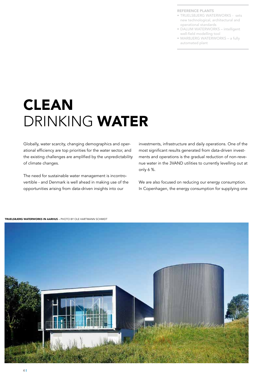- TRUELSBJERG WATERWORKS sets new technological, architectural and operational standards
- DALUM WATERWORKS intelligent well-field modelling tool
- MARBJERG WATERWORKS a fully automated plant

# CLEAN DRINKING WATER

Globally, water scarcity, changing demographics and operational efficiency are top priorities for the water sector, and the existing challenges are amplified by the unpredictability of climate changes.

The need for sustainable water management is incontrovertible - and Denmark is well ahead in making use of the opportunities arising from data-driven insights into our

investments, infrastructure and daily operations. One of the most significant results generated from data-driven investments and operations is the gradual reduction of non-revenue water in the 3VAND utilities to currently levelling out at only 6 %.

We are also focused on reducing our energy consumption. In Copenhagen, the energy consumption for supplying one



TRUELSBJERG WATERWORKS IN AARHUS – PHOTO BY OLE HARTMANN SCHMIDT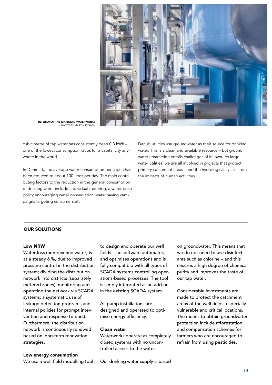

INTERIOR AT THE MARBJERG WATERWORKS – PHOTO BY MARTIN DYRLØV

cubic metre of tap water has consistently been 0.3 kWh – one of the lowest consumption ratios for a capital city anywhere in the world.

In Denmark, the average water consumption per capita has been reduced to about 100 litres per day. The main contributing factors to the reduction in the general consumption of drinking water include: individual metering; a water price policy encouraging water conservation; water saving campaigns targeting consumers etc.

Danish utilities use groundwater as their source for drinking water. This is a clean and available resource – but ground water abstraction entails challenges of its own. As large water utilities, we are all involved in projects that protect primary catchment areas - and the hydrological cycle - from the impacts of human activities.

## OUR SOLUTIONS

#### Low NRW

Water loss (non-revenue water) is at a steady 6 %, due to improved pressure control in the distribution system; dividing the distribution network into districts (separately metered zones); monitoring and operating the network via SCADA systems; a systematic use of leakage detection programs and internal policies for prompt intervention and response to bursts. Furthermore, the distribution network is continuously renewed based on long-term renovation strategies.

to design and operate our well fields. The software automates and optimises operations and is fully compatible with all types of SCADA systems controlling operations-based processes. The tool is simply integrated as an add-on in the existing SCADA system.

All pump installations are designed and operated to optimise energy efficiency.

### Clean water

Waterworks operate as completely closed systems with no uncontrolled access to the water.

on groundwater. This means that we do not need to use disinfectants such as chlorine – and this ensures a high degree of chemical purity and improves the taste of our tap water.

Considerable investments are made to protect the catchment areas of the well-fields, especially vulnerable and critical locations. The means to obtain groundwater protection include afforestation and compensation schemes for farmers who are encouraged to refrain from using pesticides.

#### Low energy consumption

We use a well-field modelling tool

Our drinking water supply is based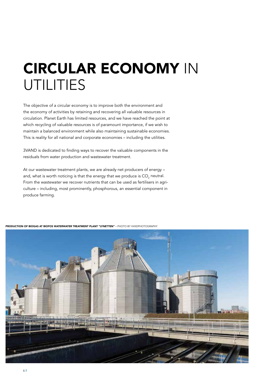# CIRCULAR ECONOMY IN UTILITIES

The objective of a circular economy is to improve both the environment and the economy of activities by retaining and recovering all valuable resources in circulation. Planet Earth has limited resources, and we have reached the point at which recycling of valuable resources is of paramount importance, if we wish to maintain a balanced environment while also maintaining sustainable economies. This is reality for all national and corporate economies – including the utilities.

3VAND is dedicated to finding ways to recover the valuable components in the residuals from water production and wastewater treatment.

At our wastewater treatment plants, we are already net producers of energy – and, what is worth noticing is that the energy that we produce is CO<sub>2</sub> neutral. From the wastewater we recover nutrients that can be used as fertilisers in agriculture – including, most prominently, phosphorous, an essential component in produce farming.

PRODUCTION OF BIOGAS AT BIOFOS WATERWATER TREATMENT PLANT "LYNETTEN" – PHOTO BY HVIIDPHOTOGRAPHY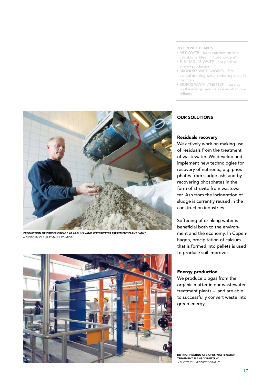- ÅBY WWTP turns wastewater into valuable fertiliser, "PhosphorCare"
- EJBY MØLLE WWTP net-positive energy production
- BRØNDBY WATERWORKS first central drinking water softening plant in Denmark
- BIOFOS WWTP LYNETTEN surplus on the energy balance as a result of biorefinery



PRODUCTION OF PHOSPHORCARE AT AARHUS VAND WATERWATER TREATMENT PLANT "ÅBY" – PHOTO BY OLE HARTMANN SCHMIDT



# OUR SOLUTIONS

# Residuals recovery

We actively work on making use of residuals from the treatment of wastewater. We develop and implement new technologies for recovery of nutrients, e.g. phosphates from sludge ash, and by recovering phosphates in the form of struvite from wastewater. Ash from the incineration of sludge is currently reused in the construction industries.

Softening of drinking water is beneficial both to the environment and the economy. In Copenhagen, precipitation of calcium that is formed into pellets is used to produce soil improver.

### Energy production

We produce biogas from the organic matter in our wastewater treatment plants – and are able to successfully convert waste into green energy.

DISTRICT HEATING AT BIOFOS WASTEWATER TREATMENT PLANT "LYNETTEN" – PHOTO BY HVIIDPHOTOGRAPHY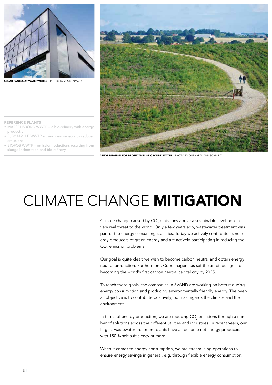

**PANELS AT WATERWORKS –** PHOTO BY VCS DENMARK



**AFFORESTATION FOR PROTECTION OF GROUND WATER – PHOTO BY OLE HARTMANN SCHMIDT** 

- MARSELISBORG WWTP a bio-refinery with energy production
- EJBY MØLLE WWTP using new sensors to reduce emissions
- BIOFOS WWTP emission reductions resulting from sludge incineration and bio-refinery

# CLIMATE CHANGE MITIGATION

Climate change caused by CO<sub>2</sub> emissions above a sustainable level pose a very real threat to the world. Only a few years ago, wastewater treatment was part of the energy consuming statistics. Today we actively contribute as net energy producers of green energy and are actively participating in reducing the  $\mathsf{CO}_2$  emission problems.

Our goal is quite clear: we wish to become carbon neutral and obtain energy neutral production. Furthermore, Copenhagen has set the ambitious goal of becoming the world's first carbon neutral capital city by 2025.

To reach these goals, the companies in 3VAND are working on both reducing energy consumption and producing environmentally friendly energy. The overall objective is to contribute positively, both as regards the climate and the environment.

In terms of energy production, we are reducing CO<sub>2</sub> emissions through a number of solutions across the different utilities and industries. In recent years, our largest wastewater treatment plants have all become net energy producers with 150 % self-sufficiency or more.

When it comes to energy consumption, we are streamlining operations to ensure energy savings in general, e.g. through flexible energy consumption.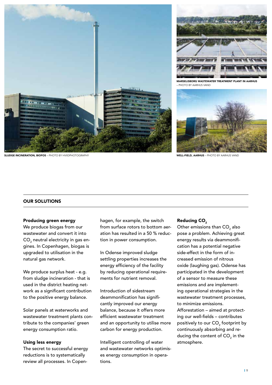



MARSELISBORG WASTEWATER TREATMENT PLANT IN AARHUS – PHOTO BY AARHUS VAND



WELL-FIELD, AARHUS – PHOTO BY AARHUS VAND

#### SLUDGE INCINERATION, BIOFOS – PHOTO BY HVIIDPHOTOGRAPHY

#### OUR SOLUTIONS

#### Producing green energy

We produce biogas from our wastewater and convert it into CO $_{\rm _2}$  neutral electricity in gas engines. In Copenhagen, biogas is upgraded to utilisation in the natural gas network.

We produce surplus heat - e.g. from sludge incineration - that is used in the district heating network as a significant contribution to the positive energy balance.

Solar panels at waterworks and wastewater treatment plants contribute to the companies' green energy consumption ratio.

### Using less energy

The secret to successful energy reductions is to systematically review all processes. In Copen-

hagen, for example, the switch from surface rotors to bottom aeration has resulted in a 50 % reduction in power consumption.

In Odense improved sludge settling properties increases the energy efficiency of the facility by reducing operational requirements for nutrient removal.

Introduction of sidestream deammonification has significantly improved our energy balance, because it offers more efficient wastewater treatment and an opportunity to utilise more carbon for energy production.

Intelligent controlling of water and wastewater networks optimises energy consumption in operations.

#### Reducing CO<sub>2</sub>

Other emissions than CO $_{\rm 2}$  also pose a problem. Achieving great energy results via deammonification has a potential negative side-effect in the form of increased emission of nitrous oxide (laughing gas). Odense has participated in the development of a sensor to measure these emissions and are implementing operational strategies in the wastewater treatment processes, to minimize emissions. Afforestation – aimed at protecting our well-fields – contributes positively to our  $\mathsf{CO}_2$  footprint by continuously absorbing and reducing the content of CO $_{\textrm{\tiny{2}}}$  in the atmosphere.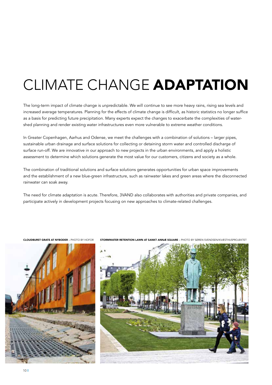# CLIMATE CHANGE ADAPTATION

The long-term impact of climate change is unpredictable. We will continue to see more heavy rains, rising sea levels and increased average temperatures. Planning for the effects of climate change is difficult, as historic statistics no longer suffice as a basis for predicting future precipitation. Many experts expect the changes to exacerbate the complexities of watershed planning and render existing water infrastructures even more vulnerable to extreme weather conditions.

In Greater Copenhagen, Aarhus and Odense, we meet the challenges with a combination of solutions – larger pipes, sustainable urban drainage and surface solutions for collecting or detaining storm water and controlled discharge of surface run-off. We are innovative in our approach to new projects in the urban environments, and apply a holistic assessment to determine which solutions generate the most value for our customers, citizens and society as a whole.

The combination of traditional solutions and surface solutions generates opportunities for urban space improvements and the establishment of a new blue-green infrastructure, such as rainwater lakes and green areas where the disconnected rainwater can soak away.

The need for climate adaptation is acute. Therefore, 3VAND also collaborates with authorities and private companies, and participate actively in development projects focusing on new approaches to climate-related challenges.



CLOUDBURST GRATE AT NYBODER – PHOTO BY HOFOR STORMWATER RETENTION LAWN AT SANKT ANNÆ SQUARE – PHOTO BY SØREN SVENDSEN/KVÆSTHUSPROJEKTET

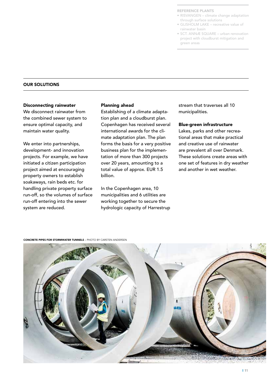- RISVANGEN climate change adaptation through surface solutions
- GLISHOLM LAKE recreative value of rainwater basin
- SCT. ANNÆ SQUARE urban renovation project with cloudburst mitigation and green areas

#### OUR SOLUTIONS

#### Disconnecting rainwater

We disconnect rainwater from the combined sewer system to ensure optimal capacity, and maintain water quality.

We enter into partnerships, development- and innovation projects. For example, we have initiated a citizen participation project aimed at encouraging property owners to establish soakaways, rain beds etc. for handling private property surface run-off, so the volumes of surface run-off entering into the sewer system are reduced.

#### Planning ahead

Establishing of a climate adaptation plan and a cloudburst plan. Copenhagen has received several international awards for the climate adaptation plan. The plan forms the basis for a very positive business plan for the implementation of more than 300 projects over 20 years, amounting to a total value of approx. EUR 1.5 billion.

In the Copenhagen area, 10 municipalities and 6 utilities are working together to secure the hydrologic capacity of Harrestrup stream that traverses all 10 municipalities.

#### Blue-green infrastructure

Lakes, parks and other recreational areas that make practical and creative use of rainwater are prevalent all over Denmark. These solutions create areas with one set of features in dry weather and another in wet weather.

CONCRETE PIPES FOR STORMWATER TUNNELS – PHOTO BY CARSTEN ANDERSEN

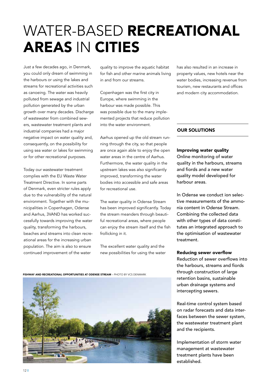# WATER-BASED RECREATIONAL AREAS IN CITIES

Just a few decades ago, in Denmark, you could only dream of swimming in the harbours or using the lakes and streams for recreational activities such as canoeing. The water was heavily polluted from sewage and industrial pollution generated by the urban growth over many decades. Discharge of wastewater from combined sewers, wastewater treatment plants and industrial companies had a major negative impact on water quality and, consequently, on the possibility for using sea water or lakes for swimming or for other recreational purposes.

Today our wastewater treatment complies with the EU Waste Water Treatment Directive. In some parts of Denmark, even stricter rules apply due to the vulnerability of the natural environment. Together with the municipalities in Copenhagen, Odense and Aarhus, 3VAND has worked successfully towards improving the water quality, transforming the harbours, beaches and streams into clean recreational areas for the increasing urban population. The aim is also to ensure continued improvement of the water

quality to improve the aquatic habitat for fish and other marine animals living in and from our streams.

Copenhagen was the first city in Europe, where swimming in the harbour was made possible. This was possible due to the many implemented projects that reduce pollution into the water environment.

Aarhus opened up the old stream running through the city, so that people are once again able to enjoy the open water areas in the centre of Aarhus. Furthermore, the water quality in the upstream lakes was also significantly improved, transforming the water bodies into accessible and safe areas for recreational use.

The water quality in Odense Stream has been improved significantly. Today the stream meanders through beautiful recreational areas, where people can enjoy the stream itself and the fish frollicking in it.

The excellent water quality and the new possibilities for using the water

has also resulted in an increase in property values, new hotels near the water bodies, increasing revenue from tourism, new restaurants and offices and modern city accommodation.

## OUR SOLUTIONS

### Improving water quality

Online monitoring of water quality in the harbours, streams and fiords and a new water quality model developed for harbour areas.

In Odense we conduct ion selective measurements of the ammonia content in Odense Stream. Combining the collected data with other types of data constitutes an integrated approach to the optimisation of wastewater treatment.

### Reducing sewer overflow

Reduction of sewer overflows into the harbours, streams and fiords through construction of large retention basins, sustainable urban drainage systems and intercepting sewers.

Real-time control system based on radar forecasts and data interfaces between the sewer system, the wastewater treatment plant and the recipients.

Implementation of storm water management at wastewater treatment plants have been established.

FISHWAY AND RECREATIONAL OPPORTUNITIES AT ODENSE STREAM – PHOTO BY VCS DENMARK

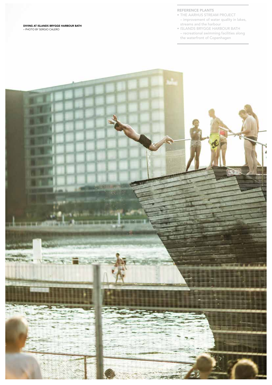DIVING AT ISLANDS BRYGGE HARBOUR BATH – PHOTO BY SERGIO CALERO

#### REFERENCE PLANTS

- THE AARHUS STREAM PROJECT – improvement of water quality in lakes, streams and the harbour
- ISLANDS BRYGGE HARBOUR BATH – recreational swimming facilities along the waterfront of Copenhagen

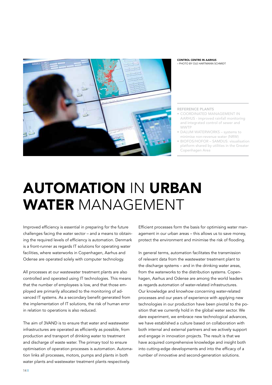

#### CONTROL CENTRE IN AARHUS – PHOTO BY OLE HARTMANN SCHMIDT

REFERENCE PLANTS

- COORDINATED MANAGEMENT IN AARHUS - improved rainfall monitoring and integrated control of sewer and WWTP
- DALUM WATERWORKS systems to minimise non-revenue water (NRW)
- BIOFOS/HOFOR SAMDUS: visualisation platform shared by utilities in the Greater Copenhagen Area

# AUTOMATION IN URBAN WATER MANAGEMENT

Improved efficiency is essential in preparing for the future challenges facing the water sector – and a means to obtaining the required levels of efficiency is automation. Denmark is a front-runner as regards IT solutions for operating water facilities, where waterworks in Copenhagen, Aarhus and Odense are operated solely with computer technology.

All processes at our wastewater treatment plants are also controlled and operated using IT technologies. This means that the number of employees is low, and that those employed are primarily allocated to the monitoring of advanced IT systems. As a secondary benefit generated from the implementation of IT solutions, the risk of human error in relation to operations is also reduced.

The aim of 3VAND is to ensure that water and wastewater infrastructures are operated as efficiently as possible, from production and transport of drinking water to treatment and discharge of waste water. The primary tool to ensure optimisation of operation processes is automation. Automation links all processes, motors, pumps and plants in both water plants and wastewater treatment plants respectively.

Efficient processes form the basis for optimising water management in our urban areas – this allows us to save money, protect the environment and minimise the risk of flooding.

In general terms, automation facilitates the transmission of relevant data from the wastewater treatment plant to the discharge systems – and in the drinking water areas, from the waterworks to the distribution systems. Copenhagen, Aarhus and Odense are among the world leaders as regards automation of water-related infrastructures. Our knowledge and knowhow concerning water-related processes and our years of experience with applying new technologies in our production have been pivotal to the position that we currently hold in the global water sector. We dare experiment, we embrace new technological advances, we have established a culture based on collaboration with both internal and external partners and we actively support and engage in innovation projects. The result is that we have acquired comprehensive knowledge and insight both into cutting-edge developments and into the efficacy of a number of innovative and second-generation solutions.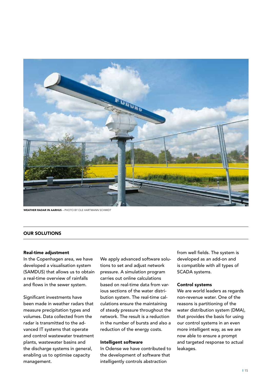

WEATHER RADAR IN AARHUS – PHOTO BY OLE HARTMANN SCHMIDT

## OUR SOLUTIONS

#### Real-time adjustment

In the Copenhagen area, we have developed a visualisation system (SAMDUS) that allows us to obtain a real-time overview of rainfalls and flows in the sewer system.

Significant investments have been made in weather radars that measure precipitation types and volumes. Data collected from the radar is transmitted to the advanced IT systems that operate and control wastewater treatment plants, wastewater basins and the discharge systems in general, enabling us to optimise capacity management.

We apply advanced software solutions to set and adjust network pressure. A simulation program carries out online calculations based on real-time data from various sections of the water distribution system. The real-time calculations ensure the maintaining of steady pressure throughout the network. The result is a reduction in the number of bursts and also a reduction of the energy costs.

### Intelligent software

In Odense we have contributed to the development of software that intelligently controls abstraction

from well fields. The system is developed as an add-on and is compatible with all types of SCADA systems.

#### Control systems

We are world leaders as regards non-revenue water. One of the reasons is partitioning of the water distribution system (DMA), that provides the basis for using our control systems in an even more intelligent way, as we are now able to ensure a prompt and targeted response to actual leakages.